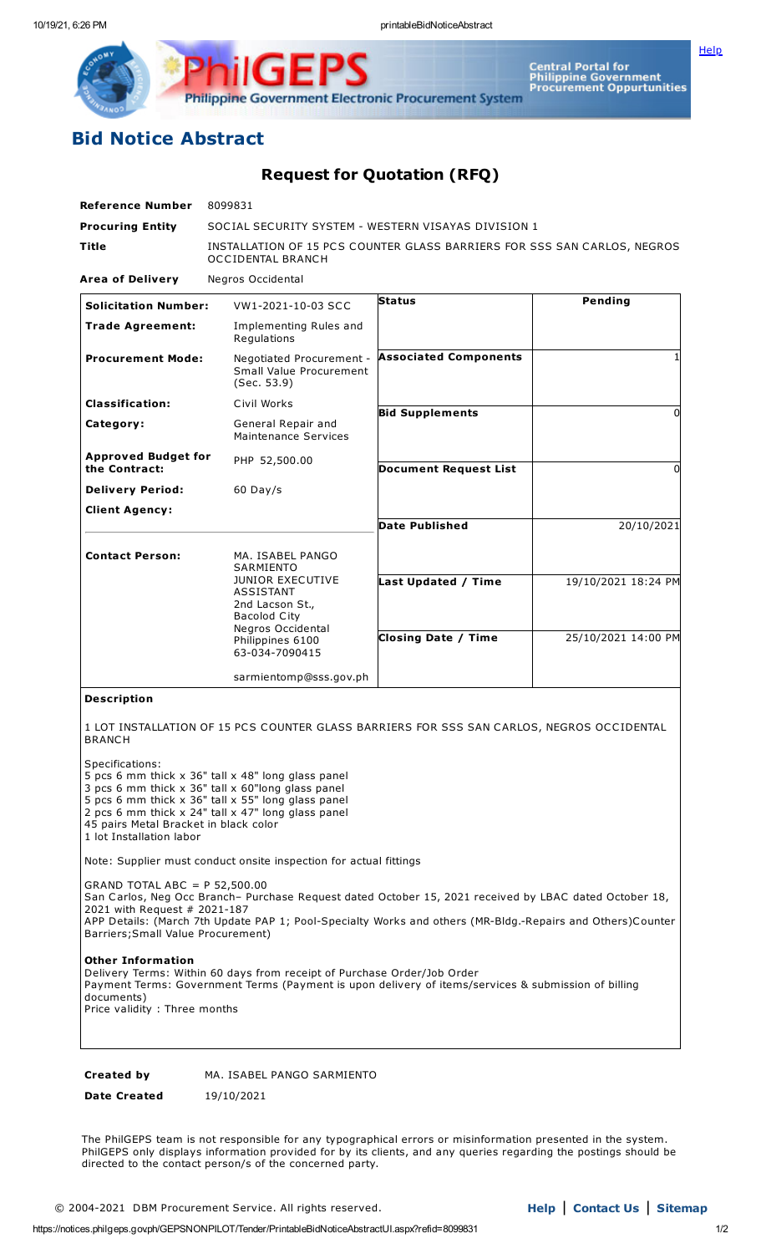**[Help](javascript:void(window.open()** 

**Philippine Government Electronic Procurement System** 

## **Bid Notice Abstract**

## **Request for Quotation (RFQ)**

| <b>Reference Number</b>                                                              | 8099831                                                                                                                                                                                                             |                                              |                                   |
|--------------------------------------------------------------------------------------|---------------------------------------------------------------------------------------------------------------------------------------------------------------------------------------------------------------------|----------------------------------------------|-----------------------------------|
| <b>Procuring Entity</b>                                                              | SOCIAL SECURITY SYSTEM - WESTERN VISAYAS DIVISION 1                                                                                                                                                                 |                                              |                                   |
| Title                                                                                | INSTALLATION OF 15 PCS COUNTER GLASS BARRIERS FOR SSS SAN CARLOS, NEGROS<br><b>OCCIDENTAL BRANCH</b>                                                                                                                |                                              |                                   |
| <b>Area of Delivery</b>                                                              | Negros Occidental                                                                                                                                                                                                   |                                              |                                   |
| <b>Solicitation Number:</b>                                                          | VW1-2021-10-03 SCC                                                                                                                                                                                                  | <b>Status</b>                                | Pending                           |
| <b>Trade Agreement:</b>                                                              | Implementing Rules and<br>Regulations                                                                                                                                                                               |                                              |                                   |
| <b>Procurement Mode:</b>                                                             | Negotiated Procurement -<br><b>Small Value Procurement</b><br>(Sec. 53.9)                                                                                                                                           | <b>Associated Components</b>                 | 1                                 |
| <b>Classification:</b>                                                               | Civil Works                                                                                                                                                                                                         |                                              |                                   |
| Category:                                                                            | General Repair and<br>Maintenance Services                                                                                                                                                                          | <b>Bid Supplements</b>                       | $\Omega$                          |
| <b>Approved Budget for</b><br>the Contract:                                          | PHP 52,500.00                                                                                                                                                                                                       | <b>Document Request List</b>                 | $\Omega$                          |
| <b>Delivery Period:</b>                                                              | $60$ Day/s                                                                                                                                                                                                          |                                              |                                   |
| <b>Client Agency:</b>                                                                |                                                                                                                                                                                                                     |                                              |                                   |
| <b>Contact Person:</b>                                                               | MA. ISABEL PANGO<br>SARMIENTO<br><b>JUNIOR EXECUTIVE</b><br><b>ASSISTANT</b><br>2nd Lacson St.,<br><b>Bacolod City</b><br>Negros Occidental<br>Philippines 6100<br>63-034-7090415                                   | <b>Date Published</b><br>Last Updated / Time | 20/10/2021<br>19/10/2021 18:24 PM |
|                                                                                      |                                                                                                                                                                                                                     |                                              |                                   |
|                                                                                      |                                                                                                                                                                                                                     | <b>Closing Date / Time</b>                   | 25/10/2021 14:00 PM               |
|                                                                                      | sarmientomp@sss.gov.ph                                                                                                                                                                                              |                                              |                                   |
| Description                                                                          |                                                                                                                                                                                                                     |                                              |                                   |
| <b>BRANCH</b>                                                                        | 1 LOT INSTALLATION OF 15 PCS COUNTER GLASS BARRIERS FOR SSS SAN CARLOS, NEGROS OCCIDENTAL                                                                                                                           |                                              |                                   |
| Specifications:<br>45 pairs Metal Bracket in black color<br>1 lot Installation labor | 5 pcs 6 mm thick x 36" tall x 48" long glass panel<br>3 pcs 6 mm thick x 36" tall x 60"long glass panel<br>5 pcs 6 mm thick x 36" tall x 55" long glass panel<br>2 pcs 6 mm thick x 24" tall x 47" long glass panel |                                              |                                   |

Note: Supplier must conduct onsite inspection for actual fittings

GRAND TOTAL ABC = P 52,500.00 San Carlos, Neg Occ Branch– Purchase Request dated October 15, 2021 received by LBAC dated October 18, 2021 with Request # 2021-187 APP Details: (March 7th Update PAP 1; Pool-Specialty Works and others (MR-Bldg.-Repairs and Others)Counter Barriers;Small Value Procurement)

**Other Information**

Delivery Terms: Within 60 days from receipt of Purchase Order/Job Order Payment Terms: Government Terms (Payment is upon delivery of items/services & submission of billing documents) Price validity : Three months

**Created by** MA. ISABEL PANGO SARMIENTO

**Date Created** 19/10/2021

The PhilGEPS team is not responsible for any typographical errors or misinformation presented in the system. PhilGEPS only displays information provided for by its clients, and any queries regarding the postings should be directed to the contact person/s of the concerned party.